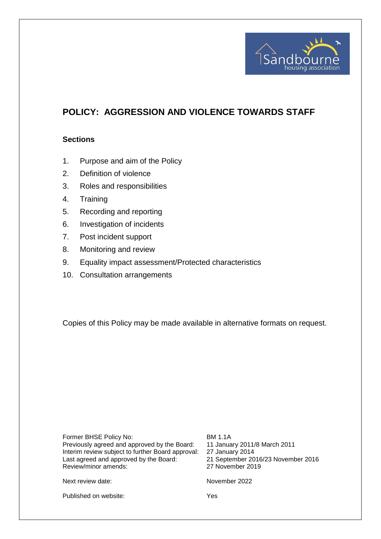

# **POLICY: AGGRESSION AND VIOLENCE TOWARDS STAFF**

### **Sections**

- 1. Purpose and aim of the Policy
- 2. Definition of violence
- 3. Roles and responsibilities
- 4. Training
- 5. Recording and reporting
- 6. Investigation of incidents
- 7. Post incident support
- 8. Monitoring and review
- 9. Equality impact assessment/Protected characteristics
- 10. Consultation arrangements

Copies of this Policy may be made available in alternative formats on request.

Former BHSE Policy No: BM 1.1A<br>Previously agreed and approved by the Board: 11 January 2011/8 March 2011 Previously agreed and approved by the Board: 11 January 2011/<br>Interim review subject to further Board approval: 27 January 2014 Interim review subject to further Board approval: 27 January 2014<br>Last agreed and approved by the Board: 21 September 2016/23 November 2016 Last agreed and approved by the Board: 21 September 2016<br>Review/minor amends: 27 November 2019 Review/minor amends:

Next review date: November 2022

Published on website: Yes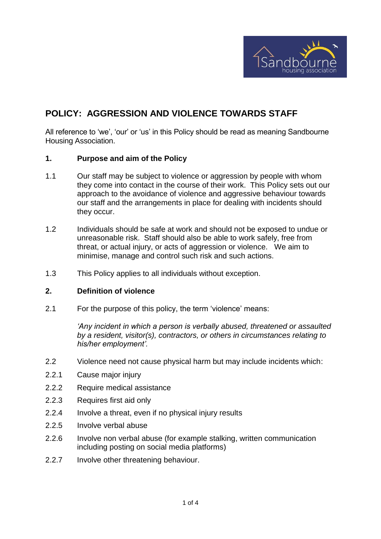

# **POLICY: AGGRESSION AND VIOLENCE TOWARDS STAFF**

All reference to 'we', 'our' or 'us' in this Policy should be read as meaning Sandbourne Housing Association.

### **1. Purpose and aim of the Policy**

- 1.1 Our staff may be subject to violence or aggression by people with whom they come into contact in the course of their work. This Policy sets out our approach to the avoidance of violence and aggressive behaviour towards our staff and the arrangements in place for dealing with incidents should they occur.
- 1.2 Individuals should be safe at work and should not be exposed to undue or unreasonable risk. Staff should also be able to work safely, free from threat, or actual injury, or acts of aggression or violence. We aim to minimise, manage and control such risk and such actions.
- 1.3 This Policy applies to all individuals without exception.

#### **2. Definition of violence**

2.1 For the purpose of this policy, the term 'violence' means:

*'Any incident in which a person is verbally abused, threatened or assaulted by a resident, visitor(s), contractors, or others in circumstances relating to his/her employment'.*

- 2.2 Violence need not cause physical harm but may include incidents which:
- 2.2.1 Cause major injury
- 2.2.2 Require medical assistance
- 2.2.3 Requires first aid only
- 2.2.4 Involve a threat, even if no physical injury results
- 2.2.5 Involve verbal abuse
- 2.2.6 Involve non verbal abuse (for example stalking, written communication including posting on social media platforms)
- 2.2.7 Involve other threatening behaviour.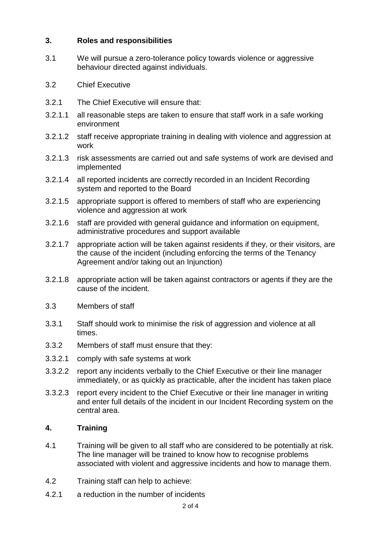### **3. Roles and responsibilities**

- 3.1 We will pursue a zero-tolerance policy towards violence or aggressive behaviour directed against individuals.
- 3.2 Chief Executive
- 3.2.1 The Chief Executive will ensure that:
- 3.2.1.1 all reasonable steps are taken to ensure that staff work in a safe working environment
- 3.2.1.2 staff receive appropriate training in dealing with violence and aggression at work
- 3.2.1.3 risk assessments are carried out and safe systems of work are devised and implemented
- 3.2.1.4 all reported incidents are correctly recorded in an Incident Recording system and reported to the Board
- 3.2.1.5 appropriate support is offered to members of staff who are experiencing violence and aggression at work
- 3.2.1.6 staff are provided with general guidance and information on equipment, administrative procedures and support available
- 3.2.1.7 appropriate action will be taken against residents if they, or their visitors, are the cause of the incident (including enforcing the terms of the Tenancy Agreement and/or taking out an Injunction)
- 3.2.1.8 appropriate action will be taken against contractors or agents if they are the cause of the incident.
- 3.3 Members of staff
- 3.3.1 Staff should work to minimise the risk of aggression and violence at all times.
- 3.3.2 Members of staff must ensure that they:
- 3.3.2.1 comply with safe systems at work
- 3.3.2.2 report any incidents verbally to the Chief Executive or their line manager immediately, or as quickly as practicable, after the incident has taken place
- 3.3.2.3 report every incident to the Chief Executive or their line manager in writing and enter full details of the incident in our Incident Recording system on the central area.

### **4. Training**

- 4.1 Training will be given to all staff who are considered to be potentially at risk. The line manager will be trained to know how to recognise problems associated with violent and aggressive incidents and how to manage them.
- 4.2 Training staff can help to achieve:
- 4.2.1 a reduction in the number of incidents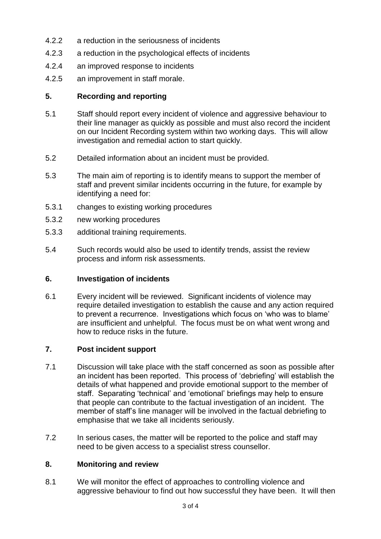- 4.2.2 a reduction in the seriousness of incidents
- 4.2.3 a reduction in the psychological effects of incidents
- 4.2.4 an improved response to incidents
- 4.2.5 an improvement in staff morale.

## **5. Recording and reporting**

- 5.1 Staff should report every incident of violence and aggressive behaviour to their line manager as quickly as possible and must also record the incident on our Incident Recording system within two working days. This will allow investigation and remedial action to start quickly.
- 5.2 Detailed information about an incident must be provided.
- 5.3 The main aim of reporting is to identify means to support the member of staff and prevent similar incidents occurring in the future, for example by identifying a need for:
- 5.3.1 changes to existing working procedures
- 5.3.2 new working procedures
- 5.3.3 additional training requirements.
- 5.4 Such records would also be used to identify trends, assist the review process and inform risk assessments.

### **6. Investigation of incidents**

6.1 Every incident will be reviewed. Significant incidents of violence may require detailed investigation to establish the cause and any action required to prevent a recurrence. Investigations which focus on 'who was to blame' are insufficient and unhelpful. The focus must be on what went wrong and how to reduce risks in the future.

# **7. Post incident support**

- 7.1 Discussion will take place with the staff concerned as soon as possible after an incident has been reported. This process of 'debriefing' will establish the details of what happened and provide emotional support to the member of staff. Separating 'technical' and 'emotional' briefings may help to ensure that people can contribute to the factual investigation of an incident. The member of staff's line manager will be involved in the factual debriefing to emphasise that we take all incidents seriously.
- 7.2 In serious cases, the matter will be reported to the police and staff may need to be given access to a specialist stress counsellor.

# **8. Monitoring and review**

8.1 We will monitor the effect of approaches to controlling violence and aggressive behaviour to find out how successful they have been. It will then